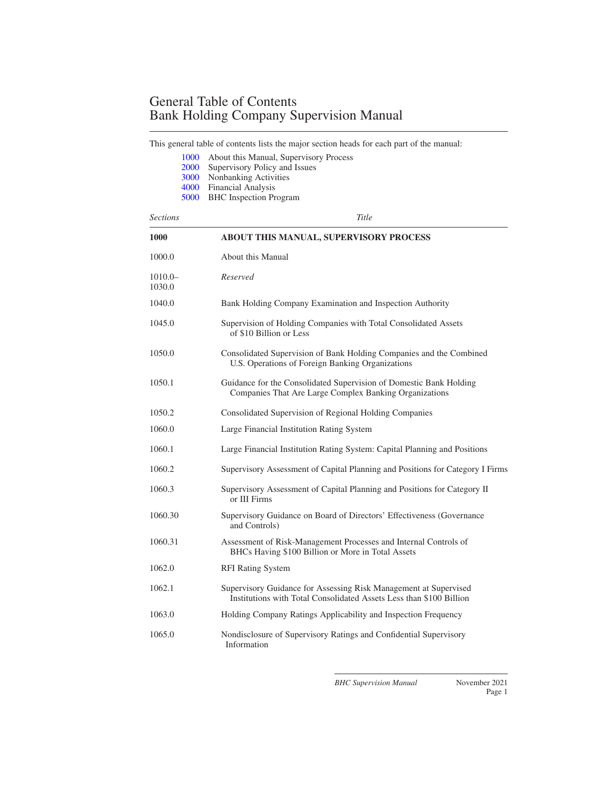This general table of contents lists the major section heads for each part of the manual:

|                     | 1000<br>2000<br>3000<br>4000<br>5000 | About this Manual, Supervisory Process<br>Supervisory Policy and Issues<br>Nonbanking Activities<br><b>Financial Analysis</b><br><b>BHC</b> Inspection Program |
|---------------------|--------------------------------------|----------------------------------------------------------------------------------------------------------------------------------------------------------------|
| <b>Sections</b>     |                                      | Title                                                                                                                                                          |
| 1000                |                                      | <b>ABOUT THIS MANUAL, SUPERVISORY PROCESS</b>                                                                                                                  |
| 1000.0              |                                      | About this Manual                                                                                                                                              |
| $1010.0-$<br>1030.0 |                                      | Reserved                                                                                                                                                       |
| 1040.0              |                                      | Bank Holding Company Examination and Inspection Authority                                                                                                      |
| 1045.0              |                                      | Supervision of Holding Companies with Total Consolidated Assets<br>of \$10 Billion or Less                                                                     |
| 1050.0              |                                      | Consolidated Supervision of Bank Holding Companies and the Combined<br>U.S. Operations of Foreign Banking Organizations                                        |
| 1050.1              |                                      | Guidance for the Consolidated Supervision of Domestic Bank Holding<br>Companies That Are Large Complex Banking Organizations                                   |
| 1050.2              |                                      | Consolidated Supervision of Regional Holding Companies                                                                                                         |
| 1060.0              |                                      | Large Financial Institution Rating System                                                                                                                      |
| 1060.1              |                                      | Large Financial Institution Rating System: Capital Planning and Positions                                                                                      |
| 1060.2              |                                      | Supervisory Assessment of Capital Planning and Positions for Category I Firms                                                                                  |
| 1060.3              |                                      | Supervisory Assessment of Capital Planning and Positions for Category II<br>or III Firms                                                                       |
| 1060.30             |                                      | Supervisory Guidance on Board of Directors' Effectiveness (Governance)<br>and Controls)                                                                        |
| 1060.31             |                                      | Assessment of Risk-Management Processes and Internal Controls of<br>BHCs Having \$100 Billion or More in Total Assets                                          |
| 1062.0              |                                      | <b>RFI Rating System</b>                                                                                                                                       |
| 1062.1              |                                      | Supervisory Guidance for Assessing Risk Management at Supervised<br>Institutions with Total Consolidated Assets Less than \$100 Billion                        |
| 1063.0              |                                      | Holding Company Ratings Applicability and Inspection Frequency                                                                                                 |
| 1065.0              |                                      | Nondisclosure of Supervisory Ratings and Confidential Supervisory<br>Information                                                                               |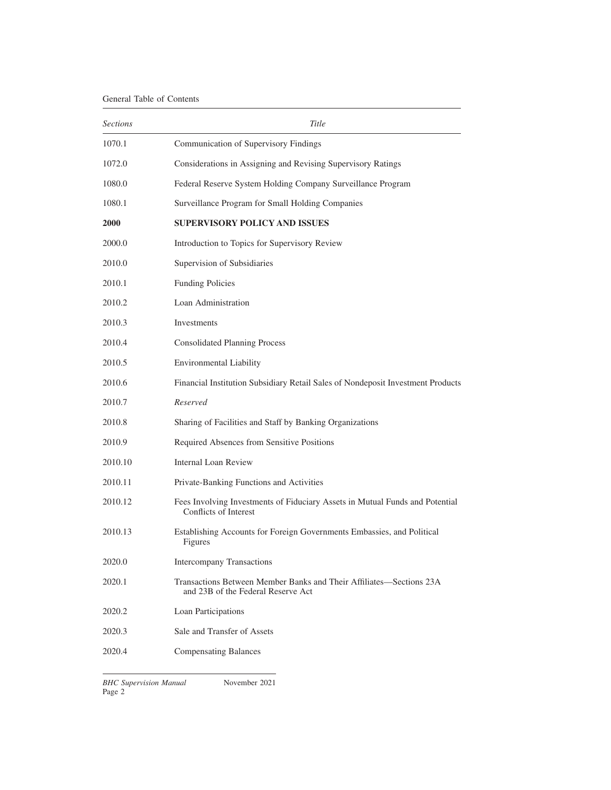<span id="page-1-0"></span>

| <b>Sections</b> | Title                                                                                                     |
|-----------------|-----------------------------------------------------------------------------------------------------------|
| 1070.1          | Communication of Supervisory Findings                                                                     |
| 1072.0          | Considerations in Assigning and Revising Supervisory Ratings                                              |
| 1080.0          | Federal Reserve System Holding Company Surveillance Program                                               |
| 1080.1          | Surveillance Program for Small Holding Companies                                                          |
| 2000            | <b>SUPERVISORY POLICY AND ISSUES</b>                                                                      |
| 2000.0          | Introduction to Topics for Supervisory Review                                                             |
| 2010.0          | Supervision of Subsidiaries                                                                               |
| 2010.1          | <b>Funding Policies</b>                                                                                   |
| 2010.2          | Loan Administration                                                                                       |
| 2010.3          | Investments                                                                                               |
| 2010.4          | <b>Consolidated Planning Process</b>                                                                      |
| 2010.5          | <b>Environmental Liability</b>                                                                            |
| 2010.6          | Financial Institution Subsidiary Retail Sales of Nondeposit Investment Products                           |
| 2010.7          | Reserved                                                                                                  |
| 2010.8          | Sharing of Facilities and Staff by Banking Organizations                                                  |
| 2010.9          | Required Absences from Sensitive Positions                                                                |
| 2010.10         | <b>Internal Loan Review</b>                                                                               |
| 2010.11         | Private-Banking Functions and Activities                                                                  |
| 2010.12         | Fees Involving Investments of Fiduciary Assets in Mutual Funds and Potential<br>Conflicts of Interest     |
| 2010.13         | Establishing Accounts for Foreign Governments Embassies, and Political<br>Figures                         |
| 2020.0          | Intercompany Transactions                                                                                 |
| 2020.1          | Transactions Between Member Banks and Their Affiliates—Sections 23A<br>and 23B of the Federal Reserve Act |
| 2020.2          | Loan Participations                                                                                       |
| 2020.3          | Sale and Transfer of Assets                                                                               |
| 2020.4          | <b>Compensating Balances</b>                                                                              |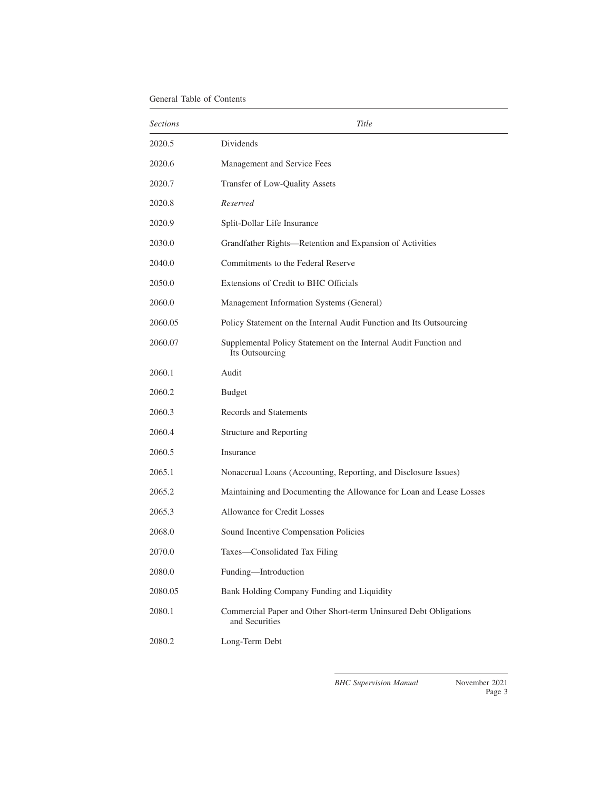| <b>Sections</b> | Title                                                                               |
|-----------------|-------------------------------------------------------------------------------------|
| 2020.5          | Dividends                                                                           |
| 2020.6          | Management and Service Fees                                                         |
| 2020.7          | Transfer of Low-Quality Assets                                                      |
| 2020.8          | Reserved                                                                            |
| 2020.9          | Split-Dollar Life Insurance                                                         |
| 2030.0          | Grandfather Rights—Retention and Expansion of Activities                            |
| 2040.0          | Commitments to the Federal Reserve                                                  |
| 2050.0          | Extensions of Credit to BHC Officials                                               |
| 2060.0          | Management Information Systems (General)                                            |
| 2060.05         | Policy Statement on the Internal Audit Function and Its Outsourcing                 |
| 2060.07         | Supplemental Policy Statement on the Internal Audit Function and<br>Its Outsourcing |
| 2060.1          | Audit                                                                               |
| 2060.2          | <b>Budget</b>                                                                       |
| 2060.3          | Records and Statements                                                              |
| 2060.4          | Structure and Reporting                                                             |
| 2060.5          | Insurance                                                                           |
| 2065.1          | Nonaccrual Loans (Accounting, Reporting, and Disclosure Issues)                     |
| 2065.2          | Maintaining and Documenting the Allowance for Loan and Lease Losses                 |
| 2065.3          | <b>Allowance for Credit Losses</b>                                                  |
| 2068.0          | Sound Incentive Compensation Policies                                               |
| 2070.0          | Taxes—Consolidated Tax Filing                                                       |
| 2080.0          | Funding-Introduction                                                                |
| 2080.05         | Bank Holding Company Funding and Liquidity                                          |
| 2080.1          | Commercial Paper and Other Short-term Uninsured Debt Obligations<br>and Securities  |
| 2080.2          | Long-Term Debt                                                                      |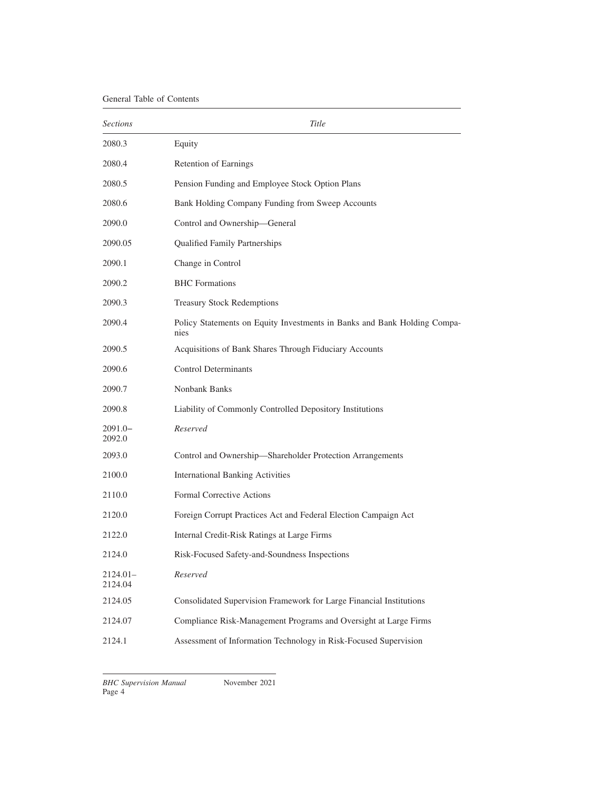| <b>Sections</b>       | Title                                                                            |
|-----------------------|----------------------------------------------------------------------------------|
| 2080.3                | Equity                                                                           |
| 2080.4                | <b>Retention of Earnings</b>                                                     |
| 2080.5                | Pension Funding and Employee Stock Option Plans                                  |
| 2080.6                | Bank Holding Company Funding from Sweep Accounts                                 |
| 2090.0                | Control and Ownership-General                                                    |
| 2090.05               | <b>Qualified Family Partnerships</b>                                             |
| 2090.1                | Change in Control                                                                |
| 2090.2                | <b>BHC</b> Formations                                                            |
| 2090.3                | <b>Treasury Stock Redemptions</b>                                                |
| 2090.4                | Policy Statements on Equity Investments in Banks and Bank Holding Compa-<br>nies |
| 2090.5                | Acquisitions of Bank Shares Through Fiduciary Accounts                           |
| 2090.6                | <b>Control Determinants</b>                                                      |
| 2090.7                | Nonbank Banks                                                                    |
| 2090.8                | Liability of Commonly Controlled Depository Institutions                         |
| 2091.0-<br>2092.0     | Reserved                                                                         |
| 2093.0                | Control and Ownership-Shareholder Protection Arrangements                        |
| 2100.0                | <b>International Banking Activities</b>                                          |
| 2110.0                | Formal Corrective Actions                                                        |
| 2120.0                | Foreign Corrupt Practices Act and Federal Election Campaign Act                  |
| 2122.0                | Internal Credit-Risk Ratings at Large Firms                                      |
| 2124.0                | Risk-Focused Safety-and-Soundness Inspections                                    |
| $2124.01-$<br>2124.04 | Reserved                                                                         |
| 2124.05               | Consolidated Supervision Framework for Large Financial Institutions              |
| 2124.07               | Compliance Risk-Management Programs and Oversight at Large Firms                 |
| 2124.1                | Assessment of Information Technology in Risk-Focused Supervision                 |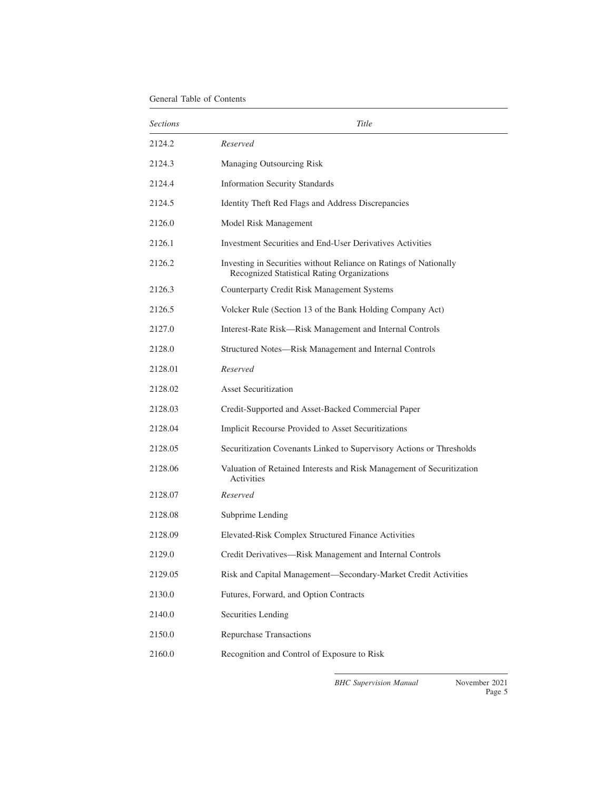| <i>Sections</i> | Title                                                                                                            |
|-----------------|------------------------------------------------------------------------------------------------------------------|
| 2124.2          | Reserved                                                                                                         |
| 2124.3          | Managing Outsourcing Risk                                                                                        |
| 2124.4          | <b>Information Security Standards</b>                                                                            |
| 2124.5          | Identity Theft Red Flags and Address Discrepancies                                                               |
| 2126.0          | Model Risk Management                                                                                            |
| 2126.1          | Investment Securities and End-User Derivatives Activities                                                        |
| 2126.2          | Investing in Securities without Reliance on Ratings of Nationally<br>Recognized Statistical Rating Organizations |
| 2126.3          | Counterparty Credit Risk Management Systems                                                                      |
| 2126.5          | Volcker Rule (Section 13 of the Bank Holding Company Act)                                                        |
| 2127.0          | Interest-Rate Risk—Risk Management and Internal Controls                                                         |
| 2128.0          | Structured Notes-Risk Management and Internal Controls                                                           |
| 2128.01         | Reserved                                                                                                         |
| 2128.02         | <b>Asset Securitization</b>                                                                                      |
| 2128.03         | Credit-Supported and Asset-Backed Commercial Paper                                                               |
| 2128.04         | Implicit Recourse Provided to Asset Securitizations                                                              |
| 2128.05         | Securitization Covenants Linked to Supervisory Actions or Thresholds                                             |
| 2128.06         | Valuation of Retained Interests and Risk Management of Securitization<br>Activities                              |
| 2128.07         | Reserved                                                                                                         |
| 2128.08         | Subprime Lending                                                                                                 |
| 2128.09         | Elevated-Risk Complex Structured Finance Activities                                                              |
| 2129.0          | Credit Derivatives-Risk Management and Internal Controls                                                         |
| 2129.05         | Risk and Capital Management-Secondary-Market Credit Activities                                                   |
| 2130.0          | Futures, Forward, and Option Contracts                                                                           |
| 2140.0          | Securities Lending                                                                                               |
| 2150.0          | <b>Repurchase Transactions</b>                                                                                   |
| 2160.0          | Recognition and Control of Exposure to Risk                                                                      |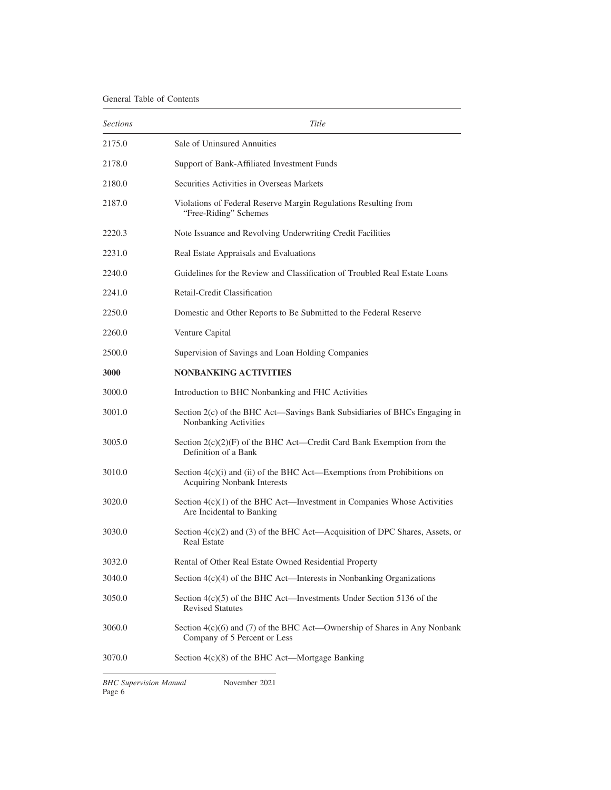<span id="page-5-0"></span>

| <b>Sections</b> | Title                                                                                                           |
|-----------------|-----------------------------------------------------------------------------------------------------------------|
| 2175.0          | Sale of Uninsured Annuities                                                                                     |
| 2178.0          | Support of Bank-Affiliated Investment Funds                                                                     |
| 2180.0          | Securities Activities in Overseas Markets                                                                       |
| 2187.0          | Violations of Federal Reserve Margin Regulations Resulting from<br>"Free-Riding" Schemes                        |
| 2220.3          | Note Issuance and Revolving Underwriting Credit Facilities                                                      |
| 2231.0          | Real Estate Appraisals and Evaluations                                                                          |
| 2240.0          | Guidelines for the Review and Classification of Troubled Real Estate Loans                                      |
| 2241.0          | Retail-Credit Classification                                                                                    |
| 2250.0          | Domestic and Other Reports to Be Submitted to the Federal Reserve                                               |
| 2260.0          | Venture Capital                                                                                                 |
| 2500.0          | Supervision of Savings and Loan Holding Companies                                                               |
| 3000            | <b>NONBANKING ACTIVITIES</b>                                                                                    |
| 3000.0          | Introduction to BHC Nonbanking and FHC Activities                                                               |
| 3001.0          | Section 2(c) of the BHC Act—Savings Bank Subsidiaries of BHCs Engaging in<br>Nonbanking Activities              |
| 3005.0          | Section $2(c)(2)(F)$ of the BHC Act—Credit Card Bank Exemption from the<br>Definition of a Bank                 |
| 3010.0          | Section $4(c)(i)$ and (ii) of the BHC Act—Exemptions from Prohibitions on<br><b>Acquiring Nonbank Interests</b> |
| 3020.0          | Section $4(c)(1)$ of the BHC Act—Investment in Companies Whose Activities<br>Are Incidental to Banking          |
| 3030.0          | Section $4(c)(2)$ and (3) of the BHC Act—Acquisition of DPC Shares, Assets, or<br><b>Real Estate</b>            |
| 3032.0          | Rental of Other Real Estate Owned Residential Property                                                          |
| 3040.0          | Section $4(c)(4)$ of the BHC Act—Interests in Nonbanking Organizations                                          |
| 3050.0          | Section 4(c)(5) of the BHC Act—Investments Under Section 5136 of the<br><b>Revised Statutes</b>                 |
| 3060.0          | Section $4(c)(6)$ and (7) of the BHC Act—Ownership of Shares in Any Nonbank<br>Company of 5 Percent or Less     |
| 3070.0          | Section $4(c)(8)$ of the BHC Act—Mortgage Banking                                                               |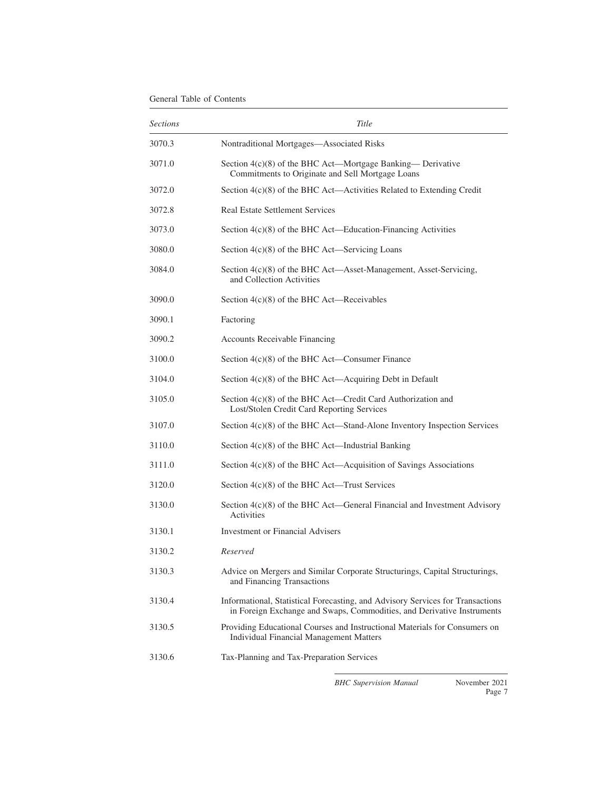| <i>Sections</i> | Title                                                                                                                                                    |
|-----------------|----------------------------------------------------------------------------------------------------------------------------------------------------------|
| 3070.3          | Nontraditional Mortgages-Associated Risks                                                                                                                |
| 3071.0          | Section 4(c)(8) of the BHC Act—Mortgage Banking— Derivative<br>Commitments to Originate and Sell Mortgage Loans                                          |
| 3072.0          | Section $4(c)(8)$ of the BHC Act—Activities Related to Extending Credit                                                                                  |
| 3072.8          | <b>Real Estate Settlement Services</b>                                                                                                                   |
| 3073.0          | Section 4(c)(8) of the BHC Act—Education-Financing Activities                                                                                            |
| 3080.0          | Section $4(c)(8)$ of the BHC Act—Servicing Loans                                                                                                         |
| 3084.0          | Section 4(c)(8) of the BHC Act—Asset-Management, Asset-Servicing,<br>and Collection Activities                                                           |
| 3090.0          | Section $4(c)(8)$ of the BHC Act—Receivables                                                                                                             |
| 3090.1          | Factoring                                                                                                                                                |
| 3090.2          | Accounts Receivable Financing                                                                                                                            |
| 3100.0          | Section $4(c)(8)$ of the BHC Act—Consumer Finance                                                                                                        |
| 3104.0          | Section $4(c)(8)$ of the BHC Act—Acquiring Debt in Default                                                                                               |
| 3105.0          | Section $4(c)(8)$ of the BHC Act—Credit Card Authorization and<br>Lost/Stolen Credit Card Reporting Services                                             |
| 3107.0          | Section 4(c)(8) of the BHC Act—Stand-Alone Inventory Inspection Services                                                                                 |
| 3110.0          | Section $4(c)(8)$ of the BHC Act—Industrial Banking                                                                                                      |
| 3111.0          | Section $4(c)(8)$ of the BHC Act—Acquisition of Savings Associations                                                                                     |
| 3120.0          | Section 4(c)(8) of the BHC Act—Trust Services                                                                                                            |
| 3130.0          | Section 4(c)(8) of the BHC Act—General Financial and Investment Advisory<br>Activities                                                                   |
| 3130.1          | Investment or Financial Advisers                                                                                                                         |
| 3130.2          | Reserved                                                                                                                                                 |
| 3130.3          | Advice on Mergers and Similar Corporate Structurings, Capital Structurings,<br>and Financing Transactions                                                |
| 3130.4          | Informational, Statistical Forecasting, and Advisory Services for Transactions<br>in Foreign Exchange and Swaps, Commodities, and Derivative Instruments |
| 3130.5          | Providing Educational Courses and Instructional Materials for Consumers on<br><b>Individual Financial Management Matters</b>                             |
| 3130.6          | Tax-Planning and Tax-Preparation Services                                                                                                                |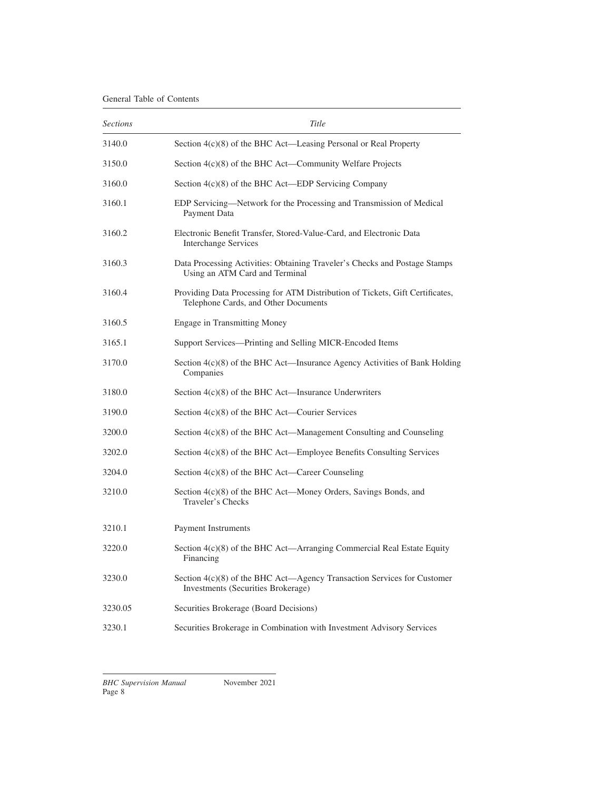| <i>Sections</i> | Title                                                                                                                 |
|-----------------|-----------------------------------------------------------------------------------------------------------------------|
| 3140.0          | Section 4(c)(8) of the BHC Act—Leasing Personal or Real Property                                                      |
| 3150.0          | Section 4(c)(8) of the BHC Act—Community Welfare Projects                                                             |
| 3160.0          | Section 4(c)(8) of the BHC Act—EDP Servicing Company                                                                  |
| 3160.1          | EDP Servicing—Network for the Processing and Transmission of Medical<br>Payment Data                                  |
| 3160.2          | Electronic Benefit Transfer, Stored-Value-Card, and Electronic Data<br><b>Interchange Services</b>                    |
| 3160.3          | Data Processing Activities: Obtaining Traveler's Checks and Postage Stamps<br>Using an ATM Card and Terminal          |
| 3160.4          | Providing Data Processing for ATM Distribution of Tickets, Gift Certificates,<br>Telephone Cards, and Other Documents |
| 3160.5          | <b>Engage in Transmitting Money</b>                                                                                   |
| 3165.1          | Support Services—Printing and Selling MICR-Encoded Items                                                              |
| 3170.0          | Section 4(c)(8) of the BHC Act—Insurance Agency Activities of Bank Holding<br>Companies                               |
| 3180.0          | Section $4(c)(8)$ of the BHC Act—Insurance Underwriters                                                               |
| 3190.0          | Section $4(c)(8)$ of the BHC Act—Courier Services                                                                     |
| 3200.0          | Section $4(c)(8)$ of the BHC Act—Management Consulting and Counseling                                                 |
| 3202.0          | Section $4(c)(8)$ of the BHC Act—Employee Benefits Consulting Services                                                |
| 3204.0          | Section $4(c)(8)$ of the BHC Act—Career Counseling                                                                    |
| 3210.0          | Section 4(c)(8) of the BHC Act—Money Orders, Savings Bonds, and<br>Traveler's Checks                                  |
| 3210.1          | Payment Instruments                                                                                                   |
| 3220.0          | Section 4(c)(8) of the BHC Act—Arranging Commercial Real Estate Equity<br>Financing                                   |
| 3230.0          | Section 4(c)(8) of the BHC Act—Agency Transaction Services for Customer<br>Investments (Securities Brokerage)         |
| 3230.05         | Securities Brokerage (Board Decisions)                                                                                |
| 3230.1          | Securities Brokerage in Combination with Investment Advisory Services                                                 |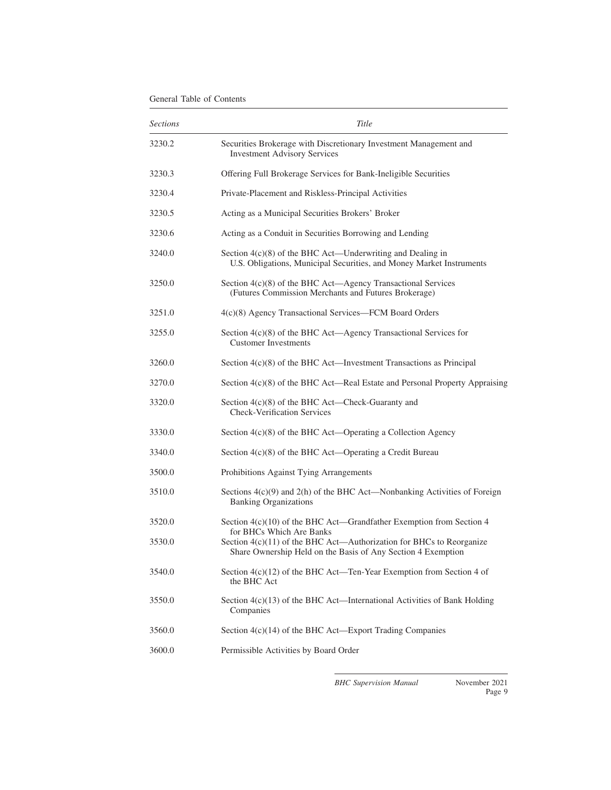| <i>Sections</i> | Title                                                                                                                                                            |
|-----------------|------------------------------------------------------------------------------------------------------------------------------------------------------------------|
| 3230.2          | Securities Brokerage with Discretionary Investment Management and<br><b>Investment Advisory Services</b>                                                         |
| 3230.3          | Offering Full Brokerage Services for Bank-Ineligible Securities                                                                                                  |
| 3230.4          | Private-Placement and Riskless-Principal Activities                                                                                                              |
| 3230.5          | Acting as a Municipal Securities Brokers' Broker                                                                                                                 |
| 3230.6          | Acting as a Conduit in Securities Borrowing and Lending                                                                                                          |
| 3240.0          | Section $4(c)(8)$ of the BHC Act—Underwriting and Dealing in<br>U.S. Obligations, Municipal Securities, and Money Market Instruments                             |
| 3250.0          | Section 4(c)(8) of the BHC Act—Agency Transactional Services<br>(Futures Commission Merchants and Futures Brokerage)                                             |
| 3251.0          | 4(c)(8) Agency Transactional Services—FCM Board Orders                                                                                                           |
| 3255.0          | Section $4(c)(8)$ of the BHC Act—Agency Transactional Services for<br><b>Customer Investments</b>                                                                |
| 3260.0          | Section $4(c)(8)$ of the BHC Act—Investment Transactions as Principal                                                                                            |
| 3270.0          | Section 4(c)(8) of the BHC Act—Real Estate and Personal Property Appraising                                                                                      |
| 3320.0          | Section $4(c)(8)$ of the BHC Act—Check-Guaranty and<br><b>Check-Verification Services</b>                                                                        |
| 3330.0          | Section $4(c)(8)$ of the BHC Act—Operating a Collection Agency                                                                                                   |
| 3340.0          | Section $4(c)(8)$ of the BHC Act—Operating a Credit Bureau                                                                                                       |
| 3500.0          | Prohibitions Against Tying Arrangements                                                                                                                          |
| 3510.0          | Sections $4(c)(9)$ and $2(h)$ of the BHC Act—Nonbanking Activities of Foreign<br><b>Banking Organizations</b>                                                    |
| 3520.0          | Section $4(c)(10)$ of the BHC Act—Grandfather Exemption from Section 4                                                                                           |
| 3530.0          | for BHCs Which Are Banks<br>Section 4(c)(11) of the BHC Act—Authorization for BHCs to Reorganize<br>Share Ownership Held on the Basis of Any Section 4 Exemption |
| 3540.0          | Section 4(c)(12) of the BHC Act—Ten-Year Exemption from Section 4 of<br>the BHC Act                                                                              |
| 3550.0          | Section 4(c)(13) of the BHC Act—International Activities of Bank Holding<br>Companies                                                                            |
| 3560.0          | Section 4(c)(14) of the BHC Act—Export Trading Companies                                                                                                         |
| 3600.0          | Permissible Activities by Board Order                                                                                                                            |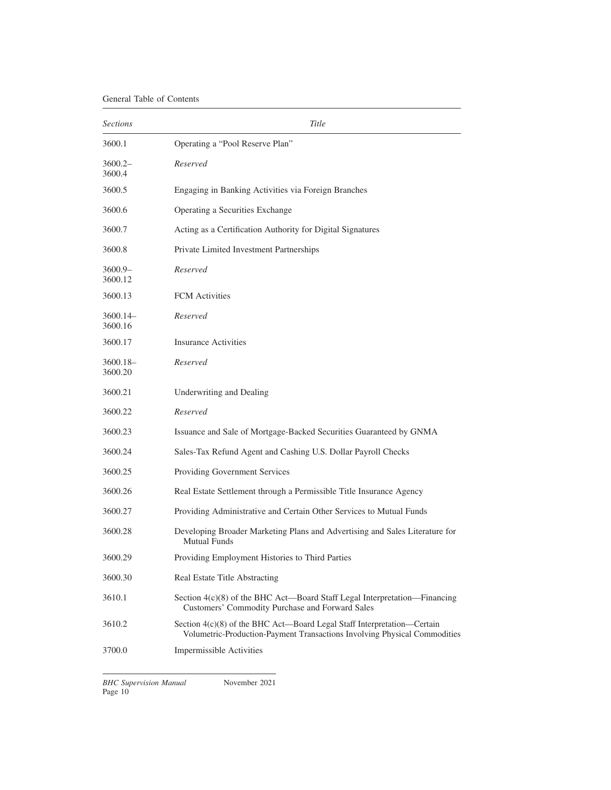| <b>Sections</b>       | Title                                                                                                                                                |
|-----------------------|------------------------------------------------------------------------------------------------------------------------------------------------------|
| 3600.1                | Operating a "Pool Reserve Plan"                                                                                                                      |
| $3600.2-$<br>3600.4   | Reserved                                                                                                                                             |
| 3600.5                | Engaging in Banking Activities via Foreign Branches                                                                                                  |
| 3600.6                | Operating a Securities Exchange                                                                                                                      |
| 3600.7                | Acting as a Certification Authority for Digital Signatures                                                                                           |
| 3600.8                | Private Limited Investment Partnerships                                                                                                              |
| $3600.9 -$<br>3600.12 | Reserved                                                                                                                                             |
| 3600.13               | <b>FCM</b> Activities                                                                                                                                |
| 3600.14-<br>3600.16   | Reserved                                                                                                                                             |
| 3600.17               | <b>Insurance Activities</b>                                                                                                                          |
| 3600.18-<br>3600.20   | Reserved                                                                                                                                             |
| 3600.21               | Underwriting and Dealing                                                                                                                             |
| 3600.22               | Reserved                                                                                                                                             |
| 3600.23               | Issuance and Sale of Mortgage-Backed Securities Guaranteed by GNMA                                                                                   |
| 3600.24               | Sales-Tax Refund Agent and Cashing U.S. Dollar Payroll Checks                                                                                        |
| 3600.25               | Providing Government Services                                                                                                                        |
| 3600.26               | Real Estate Settlement through a Permissible Title Insurance Agency                                                                                  |
| 3600.27               | Providing Administrative and Certain Other Services to Mutual Funds                                                                                  |
| 3600.28               | Developing Broader Marketing Plans and Advertising and Sales Literature for<br><b>Mutual Funds</b>                                                   |
| 3600.29               | Providing Employment Histories to Third Parties                                                                                                      |
| 3600.30               | Real Estate Title Abstracting                                                                                                                        |
| 3610.1                | Section 4(c)(8) of the BHC Act—Board Staff Legal Interpretation—Financing<br>Customers' Commodity Purchase and Forward Sales                         |
| 3610.2                | Section 4(c)(8) of the BHC Act—Board Legal Staff Interpretation—Certain<br>Volumetric-Production-Payment Transactions Involving Physical Commodities |
| 3700.0                | Impermissible Activities                                                                                                                             |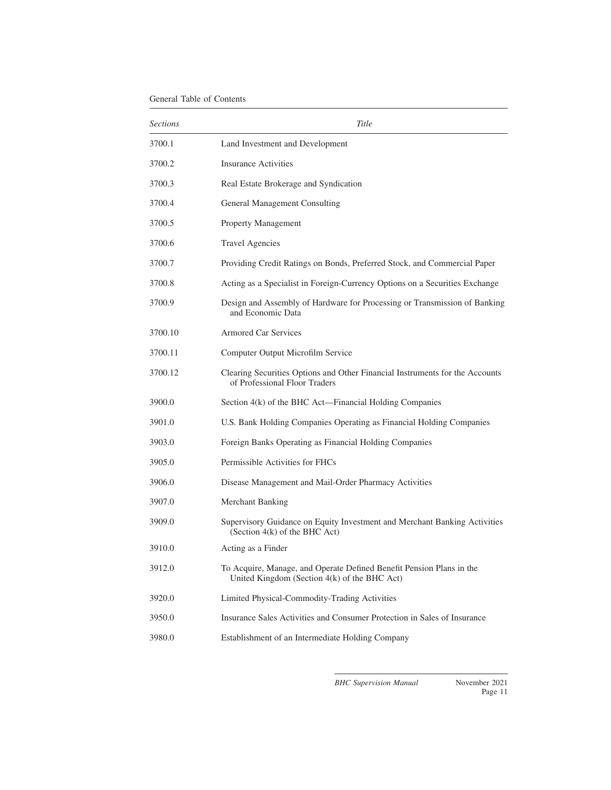| <b>Sections</b> | Title                                                                                                                |
|-----------------|----------------------------------------------------------------------------------------------------------------------|
| 3700.1          | Land Investment and Development                                                                                      |
| 3700.2          | <b>Insurance Activities</b>                                                                                          |
| 3700.3          | Real Estate Brokerage and Syndication                                                                                |
| 3700.4          | General Management Consulting                                                                                        |
| 3700.5          | Property Management                                                                                                  |
| 3700.6          | <b>Travel Agencies</b>                                                                                               |
| 3700.7          | Providing Credit Ratings on Bonds, Preferred Stock, and Commercial Paper                                             |
| 3700.8          | Acting as a Specialist in Foreign-Currency Options on a Securities Exchange                                          |
| 3700.9          | Design and Assembly of Hardware for Processing or Transmission of Banking<br>and Economic Data                       |
| 3700.10         | <b>Armored Car Services</b>                                                                                          |
| 3700.11         | Computer Output Microfilm Service                                                                                    |
| 3700.12         | Clearing Securities Options and Other Financial Instruments for the Accounts<br>of Professional Floor Traders        |
| 3900.0          | Section 4(k) of the BHC Act—Financial Holding Companies                                                              |
| 3901.0          | U.S. Bank Holding Companies Operating as Financial Holding Companies                                                 |
| 3903.0          | Foreign Banks Operating as Financial Holding Companies                                                               |
| 3905.0          | Permissible Activities for FHCs                                                                                      |
| 3906.0          | Disease Management and Mail-Order Pharmacy Activities                                                                |
| 3907.0          | Merchant Banking                                                                                                     |
| 3909.0          | Supervisory Guidance on Equity Investment and Merchant Banking Activities<br>(Section 4(k) of the BHC Act)           |
| 3910.0          | Acting as a Finder                                                                                                   |
| 3912.0          | To Acquire, Manage, and Operate Defined Benefit Pension Plans in the<br>United Kingdom (Section 4(k) of the BHC Act) |
| 3920.0          | Limited Physical-Commodity-Trading Activities                                                                        |
| 3950.0          | Insurance Sales Activities and Consumer Protection in Sales of Insurance                                             |
| 3980.0          | Establishment of an Intermediate Holding Company                                                                     |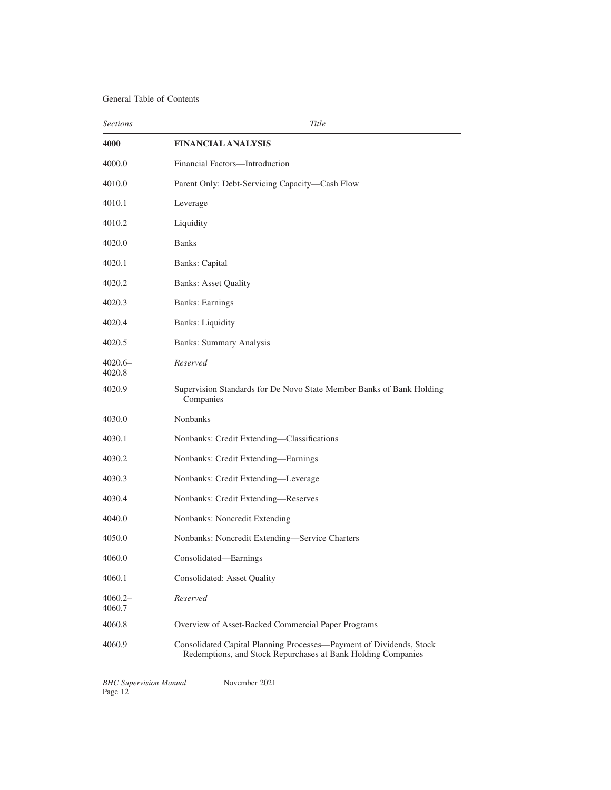<span id="page-11-0"></span>

| <b>Sections</b>     | Title                                                                                                                               |
|---------------------|-------------------------------------------------------------------------------------------------------------------------------------|
| 4000                | <b>FINANCIAL ANALYSIS</b>                                                                                                           |
| 4000.0              | Financial Factors-Introduction                                                                                                      |
| 4010.0              | Parent Only: Debt-Servicing Capacity—Cash Flow                                                                                      |
| 4010.1              | Leverage                                                                                                                            |
| 4010.2              | Liquidity                                                                                                                           |
| 4020.0              | <b>Banks</b>                                                                                                                        |
| 4020.1              | <b>Banks: Capital</b>                                                                                                               |
| 4020.2              | <b>Banks: Asset Quality</b>                                                                                                         |
| 4020.3              | <b>Banks: Earnings</b>                                                                                                              |
| 4020.4              | <b>Banks:</b> Liquidity                                                                                                             |
| 4020.5              | <b>Banks: Summary Analysis</b>                                                                                                      |
| 4020.6-<br>4020.8   | Reserved                                                                                                                            |
| 4020.9              | Supervision Standards for De Novo State Member Banks of Bank Holding<br>Companies                                                   |
| 4030.0              | <b>Nonbanks</b>                                                                                                                     |
| 4030.1              | Nonbanks: Credit Extending-Classifications                                                                                          |
| 4030.2              | Nonbanks: Credit Extending-Earnings                                                                                                 |
| 4030.3              | Nonbanks: Credit Extending-Leverage                                                                                                 |
| 4030.4              | Nonbanks: Credit Extending-Reserves                                                                                                 |
| 4040.0              | Nonbanks: Noncredit Extending                                                                                                       |
| 4050.0              | Nonbanks: Noncredit Extending-Service Charters                                                                                      |
| 4060.0              | Consolidated-Earnings                                                                                                               |
| 4060.1              | Consolidated: Asset Quality                                                                                                         |
| $4060.2-$<br>4060.7 | Reserved                                                                                                                            |
| 4060.8              | Overview of Asset-Backed Commercial Paper Programs                                                                                  |
| 4060.9              | Consolidated Capital Planning Processes—Payment of Dividends, Stock<br>Redemptions, and Stock Repurchases at Bank Holding Companies |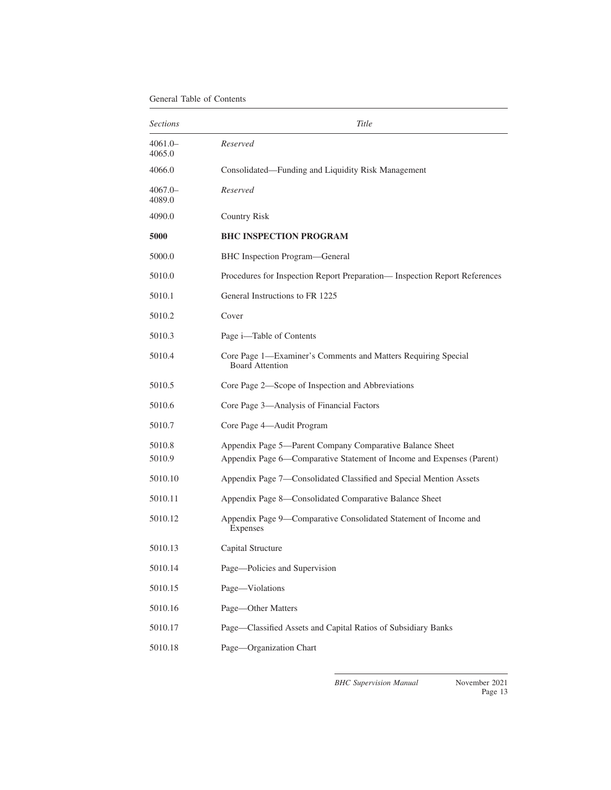<span id="page-12-0"></span>

| <i>Sections</i>     | Title                                                                                                                             |
|---------------------|-----------------------------------------------------------------------------------------------------------------------------------|
| $4061.0-$<br>4065.0 | Reserved                                                                                                                          |
| 4066.0              | Consolidated—Funding and Liquidity Risk Management                                                                                |
| $4067.0-$<br>4089.0 | Reserved                                                                                                                          |
| 4090.0              | <b>Country Risk</b>                                                                                                               |
| 5000                | <b>BHC INSPECTION PROGRAM</b>                                                                                                     |
| 5000.0              | BHC Inspection Program—General                                                                                                    |
| 5010.0              | Procedures for Inspection Report Preparation— Inspection Report References                                                        |
| 5010.1              | General Instructions to FR 1225                                                                                                   |
| 5010.2              | Cover                                                                                                                             |
| 5010.3              | Page i—Table of Contents                                                                                                          |
| 5010.4              | Core Page 1—Examiner's Comments and Matters Requiring Special<br><b>Board Attention</b>                                           |
| 5010.5              | Core Page 2—Scope of Inspection and Abbreviations                                                                                 |
| 5010.6              | Core Page 3—Analysis of Financial Factors                                                                                         |
| 5010.7              | Core Page 4-Audit Program                                                                                                         |
| 5010.8<br>5010.9    | Appendix Page 5—Parent Company Comparative Balance Sheet<br>Appendix Page 6—Comparative Statement of Income and Expenses (Parent) |
| 5010.10             | Appendix Page 7—Consolidated Classified and Special Mention Assets                                                                |
| 5010.11             | Appendix Page 8—Consolidated Comparative Balance Sheet                                                                            |
| 5010.12             | Appendix Page 9—Comparative Consolidated Statement of Income and<br>Expenses                                                      |
| 5010.13             | Capital Structure                                                                                                                 |
| 5010.14             | Page-Policies and Supervision                                                                                                     |
| 5010.15             | Page-Violations                                                                                                                   |
| 5010.16             | Page-Other Matters                                                                                                                |
| 5010.17             | Page-Classified Assets and Capital Ratios of Subsidiary Banks                                                                     |
| 5010.18             | Page-Organization Chart                                                                                                           |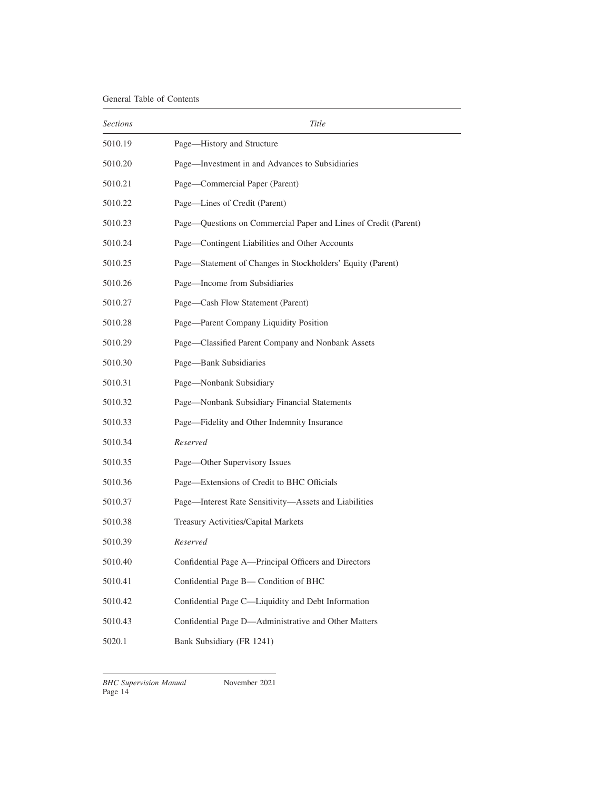| <i>Sections</i> | Title                                                           |
|-----------------|-----------------------------------------------------------------|
| 5010.19         | Page-History and Structure                                      |
| 5010.20         | Page-Investment in and Advances to Subsidiaries                 |
| 5010.21         | Page—Commercial Paper (Parent)                                  |
| 5010.22         | Page—Lines of Credit (Parent)                                   |
| 5010.23         | Page-Questions on Commercial Paper and Lines of Credit (Parent) |
| 5010.24         | Page-Contingent Liabilities and Other Accounts                  |
| 5010.25         | Page—Statement of Changes in Stockholders' Equity (Parent)      |
| 5010.26         | Page—Income from Subsidiaries                                   |
| 5010.27         | Page-Cash Flow Statement (Parent)                               |
| 5010.28         | Page-Parent Company Liquidity Position                          |
| 5010.29         | Page—Classified Parent Company and Nonbank Assets               |
| 5010.30         | Page-Bank Subsidiaries                                          |
| 5010.31         | Page-Nonbank Subsidiary                                         |
| 5010.32         | Page-Nonbank Subsidiary Financial Statements                    |
| 5010.33         | Page—Fidelity and Other Indemnity Insurance                     |
| 5010.34         | Reserved                                                        |
| 5010.35         | Page—Other Supervisory Issues                                   |
| 5010.36         | Page-Extensions of Credit to BHC Officials                      |
| 5010.37         | Page—Interest Rate Sensitivity—Assets and Liabilities           |
| 5010.38         | Treasury Activities/Capital Markets                             |
| 5010.39         | Reserved                                                        |
| 5010.40         | Confidential Page A-Principal Officers and Directors            |
| 5010.41         | Confidential Page B- Condition of BHC                           |
| 5010.42         | Confidential Page C-Liquidity and Debt Information              |
| 5010.43         | Confidential Page D-Administrative and Other Matters            |
| 5020.1          | Bank Subsidiary (FR 1241)                                       |